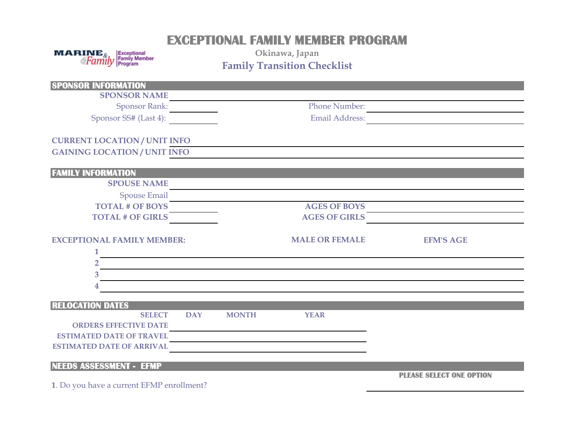## **EXCEPTIONAL FAMILY MEMBER PROGRAM**

 $\begin{array}{cc}\n\textbf{MARINE}_{\&} & \text{Exceptional} \\
\textcolor{red}{\textbf{\&} \text{Family Menber}} & \text{Family Member} \\
\textcolor{red}{\text{Family Menber}} & \text{Family Menber}\n\end{array}$ 

**Okinawa, Japan Family Transition Checklist**

| <b>SPONSOR INFORMATION</b>                |            |              |                       |                                 |
|-------------------------------------------|------------|--------------|-----------------------|---------------------------------|
| <b>SPONSOR NAME</b>                       |            |              |                       |                                 |
| <b>Sponsor Rank:</b>                      |            |              | <b>Phone Number:</b>  |                                 |
| Sponsor SS# (Last 4):                     |            |              | <b>Email Address:</b> |                                 |
| <b>CURRENT LOCATION/ UNIT INFO</b>        |            |              |                       |                                 |
| <b>GAINING LOCATION/UNIT INFO</b>         |            |              |                       |                                 |
| <b>FAMILY INFORMATION</b>                 |            |              |                       |                                 |
| <b>SPOUSE NAME</b>                        |            |              |                       |                                 |
| <b>Spouse Email</b>                       |            |              |                       |                                 |
| <b>TOTAL # OF BOYS</b>                    |            |              | <b>AGES OF BOYS</b>   |                                 |
| <b>TOTAL # OF GIRLS</b>                   |            |              | <b>AGES OF GIRLS</b>  |                                 |
| <b>EXCEPTIONAL FAMILY MEMBER:</b>         |            |              | <b>MALE OR FEMALE</b> | <b>EFM'S AGE</b>                |
|                                           |            |              |                       |                                 |
| 2                                         |            |              |                       |                                 |
| 3                                         |            |              |                       |                                 |
|                                           |            |              |                       |                                 |
| <b>RELOCATION DATES</b>                   |            |              |                       |                                 |
| <b>SELECT</b>                             | <b>DAY</b> | <b>MONTH</b> | <b>YEAR</b>           |                                 |
| <b>ORDERS EFFECTIVE DATE</b>              |            |              |                       |                                 |
| <b>ESTIMATED DATE OF TRAVEL</b>           |            |              |                       |                                 |
| <b>ESTIMATED DATE OF ARRIVAL</b>          |            |              |                       |                                 |
| <b>NEEDS ASSESSMENT - EFMP</b>            |            |              |                       |                                 |
| 1. Do you have a current EFMP enrollment? |            |              |                       | <b>PLEASE SELECT ONE OPTION</b> |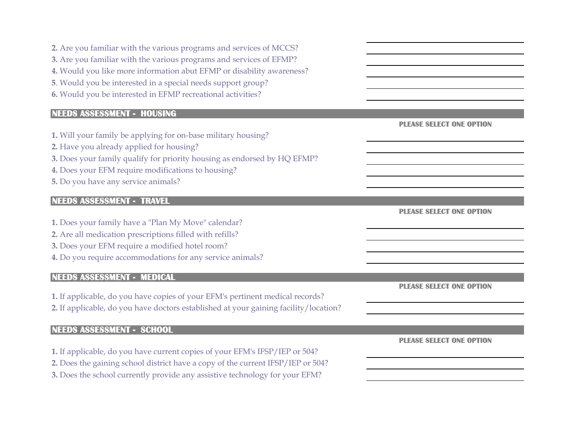| 2. Are you familiar with the various programs and services of MCCS?<br>3. Are you familiar with the various programs and services of EFMP?<br>4. Would you like more information abut EFMP or disability awareness?<br>5. Would you be interested in a special needs support group?<br>6. Would you be interested in EFMP recreational activities? |                                 |
|----------------------------------------------------------------------------------------------------------------------------------------------------------------------------------------------------------------------------------------------------------------------------------------------------------------------------------------------------|---------------------------------|
| <b>NEEDS ASSESSMENT - HOUSING</b>                                                                                                                                                                                                                                                                                                                  |                                 |
| 1. Will your family be applying for on-base military housing?<br>2. Have you already applied for housing?<br>3. Does your family qualify for priority housing as endorsed by HQ EFMP?<br>4. Does your EFM require modifications to housing?<br>5. Do you have any service animals?                                                                 | <b>PLEASE SELECT ONE OPTION</b> |
| <b>NEEDS ASSESSMENT - TRAVEL</b>                                                                                                                                                                                                                                                                                                                   |                                 |
| 1. Does your family have a "Plan My Move" calendar?<br>2. Are all medication prescriptions filled with refills?<br>3. Does your EFM require a modified hotel room?<br>4. Do you require accommodations for any service animals?                                                                                                                    | <b>PLEASE SELECT ONE OPTION</b> |
| <b>NEEDS ASSESSMENT - MEDICAL</b>                                                                                                                                                                                                                                                                                                                  |                                 |
| 1. If applicable, do you have copies of your EFM's pertinent medical records?<br>2. If applicable, do you have doctors established at your gaining facility/location?                                                                                                                                                                              | <b>PLEASE SELECT ONE OPTION</b> |
| <b>NEEDS ASSESSMENT - SCHOOL</b>                                                                                                                                                                                                                                                                                                                   |                                 |
| 1. If applicable, do you have current copies of your EFM's IFSP/IEP or 504?<br>2. Does the gaining school district have a copy of the current IFSP/IEP or 504?<br>3. Does the school currently provide any assistive technology for your EFM?                                                                                                      | <b>PLEASE SELECT ONE OPTION</b> |